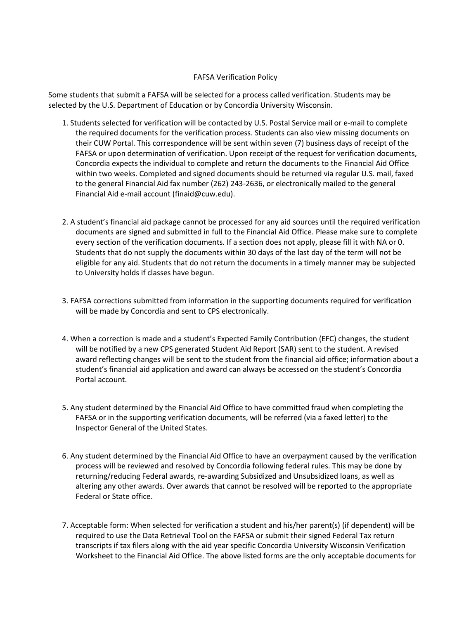## FAFSA Verification Policy

Some students that submit a FAFSA will be selected for a process called verification. Students may be selected by the U.S. Department of Education or by Concordia University Wisconsin.

- 1. Students selected for verification will be contacted by U.S. Postal Service mail or e-mail to complete the required documents for the verification process. Students can also view missing documents on their CUW Portal. This correspondence will be sent within seven (7) business days of receipt of the FAFSA or upon determination of verification. Upon receipt of the request for verification documents, Concordia expects the individual to complete and return the documents to the Financial Aid Office within two weeks. Completed and signed documents should be returned via regular U.S. mail, faxed to the general Financial Aid fax number (262) 243-2636, or electronically mailed to the general Financial Aid e-mail account (finaid@cuw.edu).
- 2. A student's financial aid package cannot be processed for any aid sources until the required verification documents are signed and submitted in full to the Financial Aid Office. Please make sure to complete every section of the verification documents. If a section does not apply, please fill it with NA or 0. Students that do not supply the documents within 30 days of the last day of the term will not be eligible for any aid. Students that do not return the documents in a timely manner may be subjected to University holds if classes have begun.
- 3. FAFSA corrections submitted from information in the supporting documents required for verification will be made by Concordia and sent to CPS electronically.
- 4. When a correction is made and a student's Expected Family Contribution (EFC) changes, the student will be notified by a new CPS generated Student Aid Report (SAR) sent to the student. A revised award reflecting changes will be sent to the student from the financial aid office; information about a student's financial aid application and award can always be accessed on the student's Concordia Portal account.
- 5. Any student determined by the Financial Aid Office to have committed fraud when completing the FAFSA or in the supporting verification documents, will be referred (via a faxed letter) to the Inspector General of the United States.
- 6. Any student determined by the Financial Aid Office to have an overpayment caused by the verification process will be reviewed and resolved by Concordia following federal rules. This may be done by returning/reducing Federal awards, re-awarding Subsidized and Unsubsidized loans, as well as altering any other awards. Over awards that cannot be resolved will be reported to the appropriate Federal or State office.
- 7. Acceptable form: When selected for verification a student and his/her parent(s) (if dependent) will be required to use the Data Retrieval Tool on the FAFSA or submit their signed Federal Tax return transcripts if tax filers along with the aid year specific Concordia University Wisconsin Verification Worksheet to the Financial Aid Office. The above listed forms are the only acceptable documents for